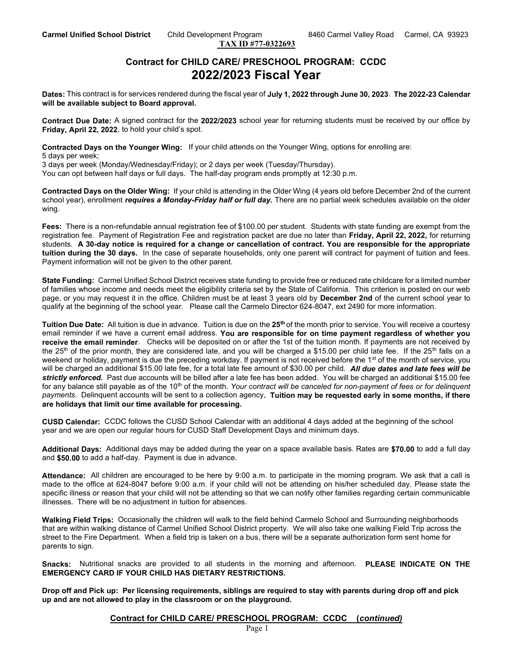TAX ID #77-0322693

## Contract for CHILD CARE/ PRESCHOOL PROGRAM: CCDC 2022/2023 Fiscal Year

Dates: This contract is for services rendered during the fiscal year of July 1, 2022 through June 30, 2023. The 2022-23 Calendar will be available subject to Board approval.

Contract Due Date: A signed contract for the 2022/2023 school year for returning students must be received by our office by Friday, April 22, 2022, to hold your child's spot.

Contracted Days on the Younger Wing: If your child attends on the Younger Wing, options for enrolling are: 5 days per week;

3 days per week (Monday/Wednesday/Friday); or 2 days per week (Tuesday/Thursday).

You can opt between half days or full days. The half-day program ends promptly at 12:30 p.m.

Contracted Days on the Older Wing: If your child is attending in the Older Wing (4 years old before December 2nd of the current school year), enrollment requires a Monday-Friday half or full day. There are no partial week schedules available on the older wing.

Fees: There is a non-refundable annual registration fee of \$100.00 per student. Students with state funding are exempt from the registration fee. Payment of Registration Fee and registration packet are due no later than Friday, April 22, 2022, for returning students. A 30-day notice is required for a change or cancellation of contract. You are responsible for the appropriate tuition during the 30 days. In the case of separate households, only one parent will contract for payment of tuition and fees. Payment information will not be given to the other parent.

State Funding: Carmel Unified School District receives state funding to provide free or reduced rate childcare for a limited number of families whose income and needs meet the eligibility criteria set by the State of California. This criterion is posted on our web page, or you may request it in the office. Children must be at least 3 years old by December 2nd of the current school year to qualify at the beginning of the school year. Please call the Carmelo Director 624-8047, ext 2490 for more information.

Tuition Due Date: All tuition is due in advance. Tuition is due on the 25<sup>th</sup> of the month prior to service. You will receive a courtesy email reminder if we have a current email address. You are responsible for on time payment regardless of whether you receive the email reminder. Checks will be deposited on or after the 1st of the tuition month. If payments are not received by the 25<sup>th</sup> of the prior month, they are considered late, and you will be charged a \$15.00 per child late fee. If the 25<sup>th</sup> falls on a weekend or holiday, payment is due the preceding workday. If payment is not received before the 1<sup>st</sup> of the month of service, you will be charged an additional \$15.00 late fee, for a total late fee amount of \$30.00 per child. All due dates and late fees will be strictly enforced. Past due accounts will be billed after a late fee has been added. You will be charged an additional \$15.00 fee for any balance still payable as of the  $10<sup>th</sup>$  of the month. Your contract will be canceled for non-payment of fees or for delinquent payments. Delinquent accounts will be sent to a collection agency. Tuition may be requested early in some months, if there are holidays that limit our time available for processing.

CUSD Calendar: CCDC follows the CUSD School Calendar with an additional 4 days added at the beginning of the school year and we are open our regular hours for CUSD Staff Development Days and minimum days.

Additional Days: Additional days may be added during the year on a space available basis. Rates are \$70.00 to add a full day and \$50.00 to add a half-day. Payment is due in advance.

Attendance: All children are encouraged to be here by 9:00 a.m. to participate in the morning program. We ask that a call is made to the office at 624-8047 before 9:00 a.m. if your child will not be attending on his/her scheduled day. Please state the specific illness or reason that your child will not be attending so that we can notify other families regarding certain communicable illnesses. There will be no adjustment in tuition for absences.

Walking Field Trips: Occasionally the children will walk to the field behind Carmelo School and Surrounding neighborhoods that are within walking distance of Carmel Unified School District property. We will also take one walking Field Trip across the street to the Fire Department. When a field trip is taken on a bus, there will be a separate authorization form sent home for parents to sign.

Snacks: Nutritional snacks are provided to all students in the morning and afternoon. PLEASE INDICATE ON THE EMERGENCY CARD IF YOUR CHILD HAS DIETARY RESTRICTIONS.

Drop off and Pick up: Per licensing requirements, siblings are required to stay with parents during drop off and pick up and are not allowed to play in the classroom or on the playground.

## Contract for CHILD CARE/ PRESCHOOL PROGRAM: CCDC (continued)